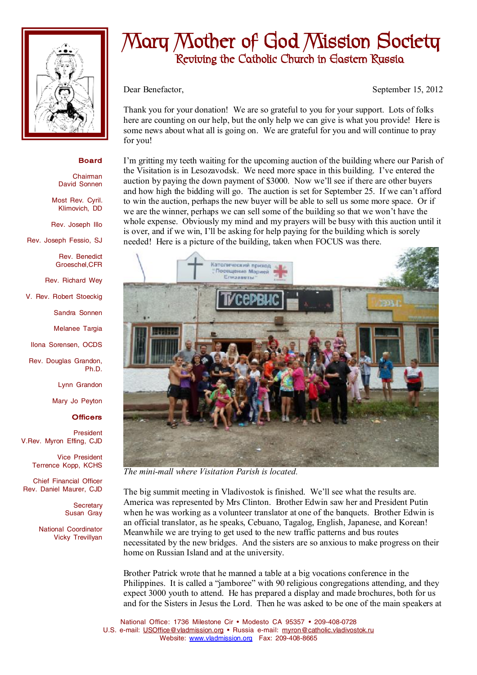

## **Board**

Chairman David Sonnen

Most Rev. Cyril. Klimovich, DD

Rev. Joseph Illo

Rev. Joseph Fessio, SJ

Rev. Benedict Groeschel,CFR

Rev. Richard Wey

V. Rev. Robert Stoeckig

Sandra Sonnen

Melanee Targia

Ilona Sorensen, OCDS

Rev. Douglas Grandon, Ph.D.

Lynn Grandon

Mary Jo Peyton

## **Officers**

President V.Rev. Myron Effing, CJD

> Vice President Terrence Kopp, KCHS

Chief Financial Officer Rev. Daniel Maurer, CJD

> **Secretary** Susan Gray

National Coordinator Vicky Trevillyan

## **Mary Mother of God Mission Society Reviving the Catholic Church in Eastern Russia**

Dear Benefactor, September 15, 2012

Thank you for your donation! We are so grateful to you for your support. Lots of folks here are counting on our help, but the only help we can give is what you provide! Here is some news about what all is going on. We are grateful for you and will continue to pray for you!

I'm gritting my teeth waiting for the upcoming auction of the building where our Parish of the Visitation is in Lesozavodsk. We need more space in this building. I've entered the auction by paying the down payment of \$3000. Now we'll see if there are other buyers and how high the bidding will go. The auction is set for September 25. If we can't afford to win the auction, perhaps the new buyer will be able to sell us some more space. Or if we are the winner, perhaps we can sell some of the building so that we won't have the whole expense. Obviously my mind and my prayers will be busy with this auction until it is over, and if we win, I'll be asking for help paying for the building which is sorely needed! Here is a picture of the building, taken when FOCUS was there.



*The mini-mall where Visitation Parish is located.* 

The big summit meeting in Vladivostok is finished. We'll see what the results are. America was represented by Mrs Clinton. Brother Edwin saw her and President Putin when he was working as a volunteer translator at one of the banquets. Brother Edwin is an official translator, as he speaks, Cebuano, Tagalog, English, Japanese, and Korean! Meanwhile we are trying to get used to the new traffic patterns and bus routes necessitated by the new bridges. And the sisters are so anxious to make progress on their home on Russian Island and at the university.

Brother Patrick wrote that he manned a table at a big vocations conference in the Philippines. It is called a "jamboree" with 90 religious congregations attending, and they expect 3000 youth to attend. He has prepared a display and made brochures, both for us and for the Sisters in Jesus the Lord. Then he was asked to be one of the main speakers at

National Office: 1736 Milestone Cir • Modesto CA 95357 • 209-408-0728 U.S. e-mail: [USOffice@vladmission.org](mailto:USOffice@vladmission.org) • Russia e-mail: [myron@catholic.vladivostok.ru](mailto:myron@catholic.vladivostok.ru) Website: [www.vladmission.org](http://www.vladmission.org) Fax: 209-408-8665